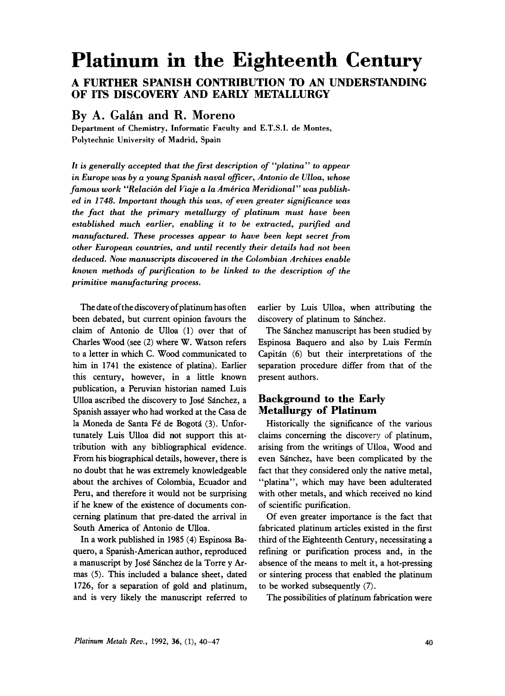# **Platinum in the Eighteenth Century**

# **A FURTHER SPANISH CONTRIBUTION To AN UNDERSTANDING OF ITS DISCOVERY AND EARLY METALLURGY**

## By A. Galán and R. Moreno

**Department of Chemistry, Informatic Faculty and E.T.S.I. de Montes, Polytechnic University of Madrid, Spain** 

*It* **is** *generally accepted that the first description of "platina" to appear in Europe was by a young Spanish naval officer, Antonio de Ulloa, whose famous work "Relacibn del Viaje a la America Meridional" was published in 1748. Important though this was, of even greater significance was the fact that the primary metallurgy of platinum must have been established much earlier, enabling it to be extracted, purified and manufactured. These processes appear to have been kept secret from other European countries, and until recently their details had not been deduced. Now manuscripts discovered in the Colombian Archives enable known methods of purification to be linked to the description of the primitive manufacturing process.* 

The date ofthe discovery of platinum has often been debated, but current opinion favours the claim of Antonio de Ulloa **(1)** over that of Charles Wood (see **(2)** where W. Watson refers to a letter in which C. Wood communicated to him in **1741** the existence of platina). Earlier this century, however, in a little known publication, a Peruvian historian named Luis Ulloa ascribed the discovery to Jose Sanchez, a Spanish assayer who had worked at the Casa de la Moneda de Santa F6 de Bogota **(3).** Unfortunately Luis Ulloa did not support this attribution with any bibliographical evidence. From his biographical details, however, there is no doubt that he was extremely knowledgeable about the archives of Colombia, Ecuador and Peru, and therefore it would not be surprising if he knew **of** the existence of documents concerning platinum that pre-dated the arrival in South America of Antonio de Ulloa.

In a work published in 1985 **(4)** Espinosa Baquero, a Spanish-American author, reproduced a manuscript by Jose Sanchez de la Torre y Armas (5). This included a balance sheet, dated **1726,** for a separation of gold and platinum, and is very likely the manuscript referred to earlier by Luis Ulloa, when attributing the discovery of platinum to Sánchez.

The Sánchez manuscript has been studied by Espinosa Baquero and also by Luis Fermin Capitan *(6)* but their interpretations of the separation procedure differ from that of the present authors.

## **Background to the Early Metallurgy of Platinum**

Historically the significance of the various claims concerning the discovery of platinum, arising from the writings of Ulloa, Wood and even Sanchez, have been complicated by the fact that they considered only the native metal, "platina", which may have been adulterated with other metals, and which received no kind of scientific purification.

Of even greater importance is the fact that fabricated platinum articles existed in the first third of the Eighteenth Century, necessitating a refining or purification process and, in the absence of the means to melt it, a hot-pressing or sintering process that enabled the platinum to be worked subsequently **(7).** 

The possibilities of platinum fabrication were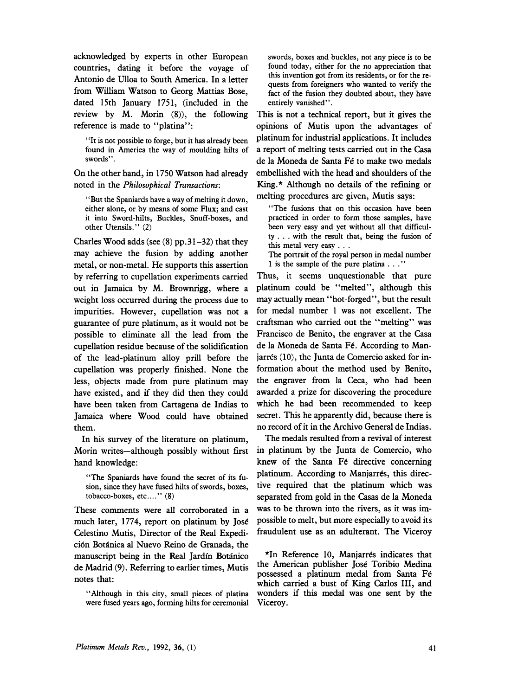acknowledged by experts in other European countries, dating it before the voyage of Antonio de Ulloa to South America. In a letter from William Watson to Georg Mattias Bose, dated 15th January 1751, (included in the review by M. Morin **(8)),** the following reference is made to "platina":

"It is not possible to forge, but it has already been found in America the way of moulding hilts of swords".

On the other hand, in 1750 Watson had already noted in the *Philosophical Transactions:* 

"But the Spaniards have a way of melting it down, either alone, or by means of some Flux; and cast it into Sword-hilts, Buckles, Snuff-boxes, and other Utensils." (2)

Charles Wood adds (see **(8)** pp.31-32) that they may achieve the fusion by adding another metal, or non-metal. He supports this assertion by referring to cupellation experiments carried out in Jamaica by M. Brownrigg, where a weight loss occurred during the process due to impurities. However, cupellation was not a guarantee of pure platinum, as it would not be possible to eliminate all the lead from the cupellation residue because of the solidification of the lead-platinum alloy prill before the cupellation was properly finished. None the less, objects made from pure platinum may have existed, and if they did then they could have been taken from Cartagena de Indias to Jamaica where Wood could have obtained them.

In his survey of the literature on platinum, Morin writes-although possibly without first hand knowledge:

"The Spaniards have found the secret of its fusion, since they have fused hilts of swords, boxes, tobacco-boxes, etc...." (8)

These comments were all corroborated in a much later, 1774, report on platinum by Jose Celestino Mutis, Director of the Real Expedición Botánica al Nuevo Reino de Granada, the manuscript being in the Real Jardín Botánico de Madrid **(9).** Referring to earlier times, Mutis notes that:

"Although in this city, small pieces of platina were fused years ago, forming hilts for ceremonial swords, boxes and buckles, not any piece is to be found today, either for the no appreciation that this invention got from its residents, or for the requests from foreigners who wanted to verify the fact of the fusion they doubted about, they have entirely vanished".

This is not a technical report, but it gives the opinions of Mutis upon the advantages of platinum for industrial applications. It includes a report of melting tests carried out in the Casa de la Moneda de Santa Fé to make two medals embellished with the head and shoulders of the King.\* Although no details of the refining or melting procedures are given, Mutis says:

"The fusions that on this occasion have been practiced in order to form those samples, have been very easy and yet without all that difficulty . . . with the result that, being the fusion of this metal very easy . . .

The portrait of the royal person in medal number 1 is the sample of the pure platina . . ."

Thus, it seems unquestionable that pure platinum could be "melted", although this may actually mean "hot-forged", but the result for medal number 1 was not excellent. The craftsman who carried out the "melting" was Francisco de Benito, the engraver at the Casa de la Moneda de Santa Fé. According to Manjarrés (10), the Junta de Comercio asked for information about the method used by Benito, the engraver from la Ceca, who had been awarded a prize for discovering the procedure which he had been recommended to keep secret. This he apparently did, because there is no record of it in the Archivo General de Indias.

The medals resulted from a revival of interest in platinum by the Junta de Comercio, who knew of the Santa Fe directive concerning platinum. According to Manjarres, this directive required that the platinum which was separated from gold in the Casas de la Moneda was to be thrown into the rivers, as it was impossible to melt, but more especially to avoid its fraudulent use as an adulterant. The Viceroy

\*In Reference 10, Manjarres indicates that the American publisher Jose Toribio Medina possessed a platinum medal from Santa Fe which carried a bust of King Carlos 111, and wonders if this medal was one sent by the Viceroy.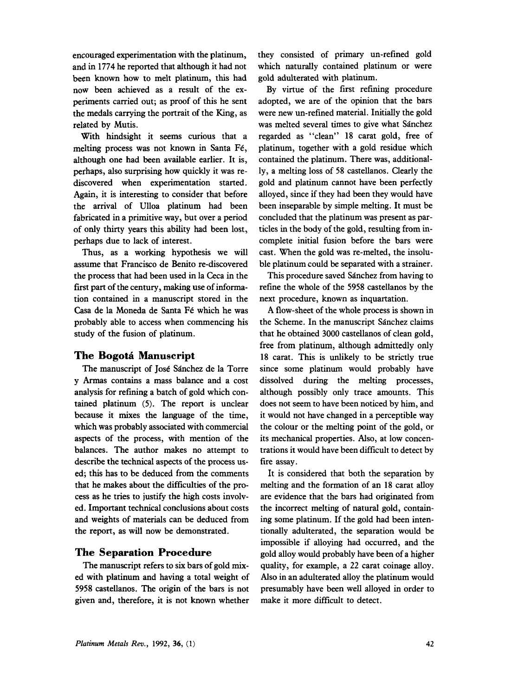encouraged experimentation with the platinum, and in 1774 he reported that although it had not been known how to melt platinum, this had now been achieved as a result of the experiments carried out; as proof of this he sent the medals carrying the portrait of the King, as related by Mutis.

With hindsight it seems curious that a melting process was not known in Santa Fé, although one had been available earlier. It is, perhaps, also surprising how quickly it was rediscovered when experimentation started. Again, it is interesting to consider that before the arrival of Ulloa platinum had been fabricated in a primitive way, but over a period of only thirty years this ability had been lost, perhaps due to lack of interest.

Thus, as a working hypothesis we will assume that Francisco de Benito re-discovered the process that had been used in la Ceca in the first part of the century, making use of information contained in a manuscript stored in the Casa de la Moneda de Santa Fé which he was probably able to access when commencing his study of the fusion of platinum.

### **The Bogoti Manuscript**

The manuscript of José Sánchez de la Torre y **Armas** contains a mass balance and a cost analysis for refining a batch of gold which contained platinum *(5).* The report is unclear because it mixes the language of the time, which was probably associated with commercial aspects of the process, with mention of the balances. The author makes no attempt to describe the technical aspects of the process used; this has to be deduced from the comments that he makes about the difficulties of the process as he tries to justify the high costs involved. Important technical conclusions about costs and weights of materials can be deduced from the report, as will now be demonstrated.

### **The Separation Procedure**

The manuscript refers to six bars of gold mixed with platinum and having a total weight of *5958* castellanos. The origin of the bars is not given and, therefore, it is not known whether they consisted of primary un-refined gold which naturally contained platinum or were gold adulterated with platinum.

By virtue of the first refining procedure adopted, we are of the opinion that the bars were new un-refined material. Initially the gold was melted several times to give what Sánchez regarded as "clean" 18 carat gold, free of platinum, together with a gold residue which contained the platinum. There was, additionally, a melting loss of 58 castellanos. Clearly the gold and platinum cannot have been perfectly alloyed, since if they had been they would have been inseparable by simple melting. It must be concluded that the platinum was present as particles in the body of the gold, resulting from incomplete initial fusion before the bars were cast. When the gold was re-melted, the insoluble platinum could be separated with a strainer.

This procedure saved Sanchez from having to refine the whole of the *5958* castellanos by the next procedure, known as inquartation.

A flow-sheet of the whole process is shown in the Scheme. In the manuscript Sanchez claims that he obtained 3000 castellanos of clean gold, free from platinum, although admittedly only 18 carat. This is unlikely to be strictly true since some platinum would probably have dissolved during the melting processes, although possibly only trace amounts. This does not seem to have been noticed by him, and it would not have changed in a perceptible way the colour or the melting point of the gold, or its mechanical properties. Also, at low concentrations it would have been difficult to detect by fire assay.

It is considered that both the separation by melting and the formation of an 18 carat alloy are evidence that the bars had originated from the incorrect melting of natural gold, containing some platinum. If the gold had been intentionally adulterated, the separation would be impossible if alloying had occurred, and the gold alloy would probably have been of a higher quality, for example, a 22 carat coinage alloy. Also in an adulterated alloy the platinum would presumably have been well alloyed in order to make it more difficult to detect.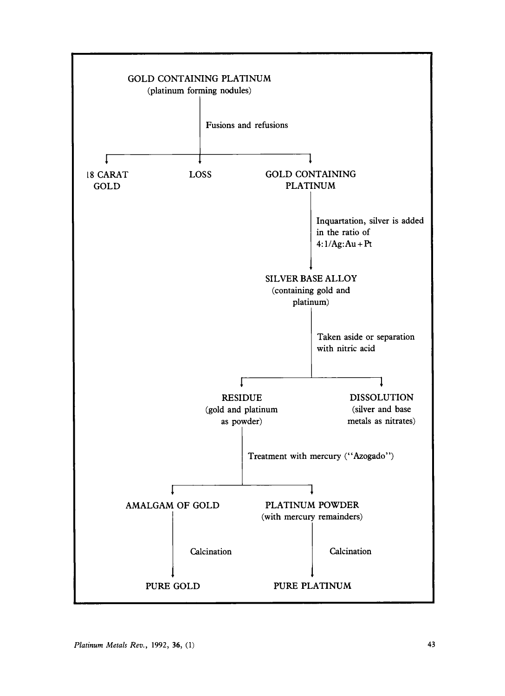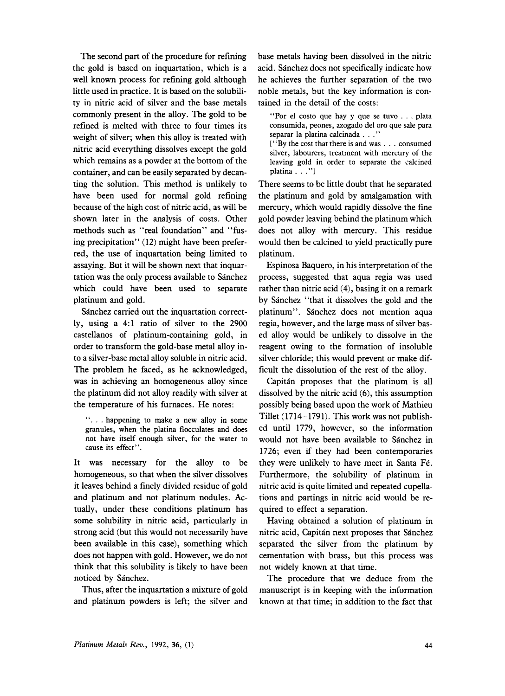The second part of the procedure for refining the gold is based on inquartation, which is a well known process for refining gold although little used in practice. It is based on the solubility in nitric acid of silver and the base metals commonly present in the alloy. The gold to be refined is melted with three to four times its weight of silver; when this alloy is treated with nitric acid everything dissolves except the gold which remains as a powder at the bottom of the container, and can be easily separated by decanting the solution. This method is unlikely to have been used for normal gold refining because of the high cost of nitric acid, as will be shown later in the analysis of costs. Other methods such as "real foundation" and "fusing precipitation" **(12)** might have been preferred, the use of inquartation being limited to assaying. But it will be shown next that inquartation was the only process available to Sánchez which could have been used to separate platinum and gold.

Sánchez carried out the inquartation correctly, using a **4:l** ratio of silver to the **2900**  castellanos of platinum-containing gold, in order to transform the gold-base metal alloy into a silver-base metal alloy soluble in nitric acid. The problem he faced, as he acknowledged, was in achieving an homogeneous alloy since the platinum did not alloy readily with silver at the temperature of his furnaces. He notes:

". . . happening to make a new alloy in some granules, when the platina flocculates and does not have itself enough silver, **for** the water to cause its effect".

It was necessary for the alloy to be homogeneous, so that when the silver dissolves it leaves behind a finely divided residue of gold and platinum and not platinum nodules. Actually, under these conditions platinum has some solubility in nitric acid, particularly in strong acid (but this would not necessarily have been available in this case), something which does not happen with gold. However, we do not think that this solubility is likely to have been noticed by Sanchez.

Thus, after the inquartation a mixture of gold and platinum powders is left; the silver and base metals having been dissolved in the nitric acid. Sanchez does not specifically indicate how he achieves the further separation of the two noble metals, but the key information is contained in the detail of the costs:

"Por **el** cost0 **que** hay y **que** se tuvo . . . plata consumida, peones, azogado del or0 que sale para separar la platina calcinada . . ."

**["By** the cost that there is and was . . . consumed silver, labourers, treatment with mercury of the leaving gold in order to separate the calcined platina . . ."

There seems to be little doubt that he separated the platinum and gold by amalgamation with mercury, which would rapidly dissolve the fine gold powder leaving behind the platinum which does not alloy with mercury. This residue would then be calcined to yield practically pure platinum.

Espinosa Baquero, in his interpretation of the process, suggested that aqua regia was used rather than nitric acid **(4),** basing it on a remark by Sanchez "that it dissolves the gold and the platinum". Sanchez does not mention aqua regia, however, and the large mass of silver based alloy would be unlikely to dissolve in the reagent owing to the formation of insoluble silver chloride; this would prevent or make difficult the dissolution of the rest of the alloy.

Capitan proposes that the platinum is all dissolved by the nitric acid **(6),** this assumption possibly being based upon the work of Mathieu Tillet **(1714-1791).** This work was not published until **1779,** however, so the information would not have been available to Sanchez in **1726;** even if they had been contemporaries they were unlikely to have meet in Santa Fé. Furthermore, the solubility of platinum in nitric acid is quite limited and repeated cupellations and partings in nitric acid would be required to effect a separation.

Having obtained **a** solution of platinum in nitric acid, Capitan next proposes that Sanchez separated the silver from the platinum by cementation with brass, but this process was not widely known at that time.

The procedure that we deduce from the manuscript is in keeping with the information known at that time; in addition to the fact that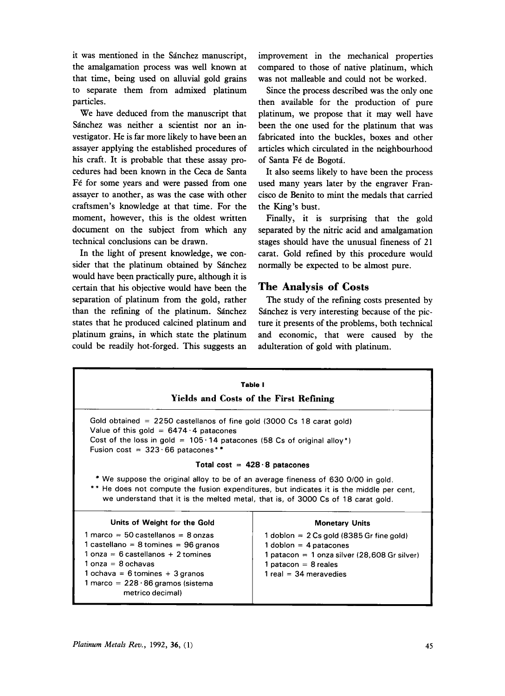it was mentioned in the Sanchez manuscript, the amalgamation process was well known at that time, being used on alluvial gold grains to separate them from admixed platinum particles.

We have deduced from the manuscript that Sánchez was neither a scientist nor an investigator. He is far more likely to have been an assayer applying the established procedures of his craft. It **is** probable that these assay procedures had been known in the Ceca de Santa Fé for some years and were passed from one assayer to another, as was the case with other craftsmen's knowledge at that time. For the moment, however, this is the oldest written document on the subject from which any technical conclusions can be drawn.

In the light of present knowledge, we consider that the platinum obtained by Sánchez would have been practically pure, although it is certain that **his** objective would have been the separation of platinum from the gold, rather than the refining of the platinum. Sanchez states that he produced calcined platinum and platinum grains, in which state the platinum could be readily hot-forged. This suggests an improvement in the mechanical properties compared to those of native platinum, which was not malleable and could not be worked.

Since the process described was the only one then available for the production of pure platinum, **we** propose that it may well have been the one used for the platinum that was fabricated into the buckles, boxes and other articles which circulated in the neighbourhood of Santa Fé de Bogotá.

It also seems likely to have been the process used many years later by the engraver Francisco de Benito to mint the medals that carried the King's bust.

Finally, it is surprising that the gold separated by the nitric acid and amalgamation stages should have the unusual fineness of 21 carat. Gold refined by this procedure would normally be expected to be almost pure.

## **The Analysis of Costs**

The study of the refining costs presented by Sanchez is very interesting because of the picture it presents of the problems, both technical and economic, that were caused by the adulteration of gold with platinum.

| Table I<br>Yields and Costs of the First Refining                                                                                                                                                                                                                 |                                                                                                                                                                              |  |  |  |
|-------------------------------------------------------------------------------------------------------------------------------------------------------------------------------------------------------------------------------------------------------------------|------------------------------------------------------------------------------------------------------------------------------------------------------------------------------|--|--|--|
| Gold obtained $= 2250$ castellanos of fine gold (3000 Cs 18 carat gold)<br>Value of this gold = $6474 \cdot 4$ patacones<br>Cost of the loss in gold = $105 \cdot 14$ patacones (58 Cs of original alloy*)<br>Fusion cost = $323.66$ patacones**                  |                                                                                                                                                                              |  |  |  |
| Total cost = $428.8$ patacones                                                                                                                                                                                                                                    |                                                                                                                                                                              |  |  |  |
| * We suppose the original alloy to be of an average fineness of 630 0/00 in gold.<br>** He does not compute the fusion expenditures, but indicates it is the middle per cent,<br>we understand that it is the melted metal, that is, of 3000 Cs of 18 carat gold. |                                                                                                                                                                              |  |  |  |
| Units of Weight for the Gold                                                                                                                                                                                                                                      | <b>Monetary Units</b>                                                                                                                                                        |  |  |  |
| 1 marco = 50 castellanos = 8 onzas<br>1 castellano = 8 tomines = $96$ granos<br>$1$ onza = 6 castellanos + 2 tomines<br>$1$ onza = 8 ochavas<br>1 ochava = 6 tomines + 3 granos<br>1 marco = $228 \cdot 86$ gramos (sistema<br>metrico decimal)                   | 1 doblon $= 2$ Cs gold (8385 Gr fine gold)<br>1 doblon = $4$ patacones<br>1 patacon = 1 onza silver (28,608 Gr silver)<br>1 patacon = $8$ reales<br>$1$ real = 34 meravedies |  |  |  |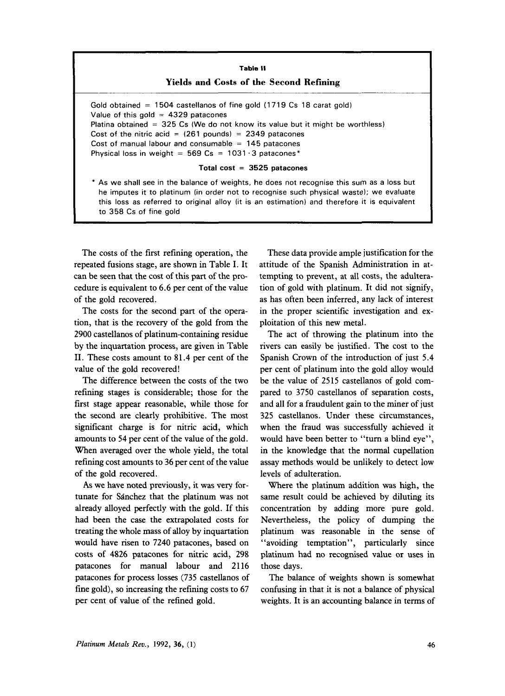| I |    |              | <b>Table II</b>  |
|---|----|--------------|------------------|
|   | __ | <b>STATE</b> | $\sim$<br>$\sim$ |

#### **Yields and Costs of the Second Refining**

Gold obtained  $= 1504$  castellanos of fine gold (1719 Cs 18 carat gold) Value of this gold  $= 4329$  patacones Platina obtained = 325 Cs (We do not know its value but it might be worthless) Cost of the nitric acid  $=$   $(261$  pounds)  $=$  2349 patacones Cost of manual labour and consumable  $= 145$  patacones Physical loss in weight =  $569 \text{ Cs} = 1031 \cdot 3 \text{ patacones}^*$ 

#### **Total cost** = **3525 patacones**

**As** we shall see in the balance of weights, he does not recognise this sum as a loss but he imputes it to platinum (in order not to recognise such physical waste); we evaluate this loss as referred to original alloy (it is an estimation) and therefore it is equivalent to 358 Cs of fine gold

The costs of the first refining operation, the repeated fusions stage, are shown in Table I. It can be seen that the cost of this part of the procedure is equivalent to 6.6 per cent of the value of the gold recovered.

The costs for the second part of the operation, that is the recovery of the gold from the 2900 castellanos of platinum-containing residue by the inquartation process, are given in Table 11. These costs amount to 81.4 per cent of the value of the gold recovered!

The difference between the costs of the two refining stages is considerable; those for the first stage appear reasonable, while those for the second are clearly prohibitive. The most significant charge is for nitric acid, which amounts to 54 per cent of the value of the gold. When averaged over the whole yield, the total refining cost amounts to 36 per cent of the value of the gold recovered.

As we have noted previously, it was very fortunate for Sanchez that the platinum was not already alloyed perfectly with the gold. If this had been the case the extrapolated costs for treating the whole mass of alloy by inquartation would have risen to 7240 patacones, based on costs of 4826 patacones for nitric acid, 298 patacones for manual labour and 2116 patacones for process losses (735 castellanos of fine gold), so increasing the refining costs to 67 per cent of value of the refined gold.

These data provide ample justification for the attitude of the Spanish Administration in attempting to prevent, at all costs, the adulteration of gold with platinum. It did not signify, as has often been inferred, any lack of interest in the proper scientific investigation and exploitation of this new metal.

The act of throwing the platinum into the rivers can easily be justified. The cost to the Spanish Crown of the introduction of just 5.4 per cent of platinum into the gold alloy would be the value of 2515 castellanos of gold compared to 3750 castellanos of separation costs, and all for a fraudulent gain to the miner of just 325 castellanos. Under these circumstances, when the fraud was successfully achieved it would have been better to "turn a blind eye", in the knowledge that the normal cupellation assay methods would be unlikely to detect low levels of adulteration.

Where the platinum addition was high, the same result could be achieved by diluting its concentration by adding more pure gold. Nevertheless, the policy of dumping the platinum was reasonable in the sense of ''avoiding temptation", particularly since platinum had no recognised value or uses in those days.

The balance of weights shown is somewhat confusing in that it is not a balance of physical weights. It is an accounting balance in terms of